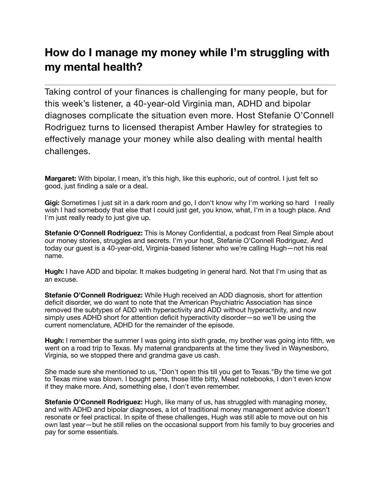## **How do I manage my money while I'm struggling with my mental health?**

Taking control of your finances is challenging for many people, but for this week's listener, a 40-year-old Virginia man, ADHD and bipolar diagnoses complicate the situation even more. Host Stefanie O'Connell Rodriguez turns to licensed therapist Amber Hawley for strategies to effectively manage your money while also dealing with mental health challenges.

**Margaret:** With bipolar, I mean, it's this high, like this euphoric, out of control. I just felt so good, just finding a sale or a deal.

**Gigi:** Sometimes I just sit in a dark room and go, I don't know why I'm working so hard I really wish I had somebody that else that I could just get, you know, what, I'm in a tough place. And I'm just really ready to just give up.

**Stefanie O'Connell Rodriguez:** This is Money Confidential, a podcast from Real Simple about our money stories, struggles and secrets. I'm your host, Stefanie O'Connell Rodriguez. And today our guest is a 40-year-old, Virginia-based listener who we're calling Hugh—not his real name.

**Hugh:** I have ADD and bipolar. It makes budgeting in general hard. Not that I'm using that as an excuse.

**Stefanie O'Connell Rodriguez:** While Hugh received an ADD diagnosis, short for attention deficit disorder, we do want to note that the American Psychiatric Association has since removed the subtypes of ADD with hyperactivity and ADD without hyperactivity, and now simply uses ADHD short for attention deficit hyperactivity disorder—so we'll be using the current nomenclature, ADHD for the remainder of the episode.

**Hugh:** I remember the summer I was going into sixth grade, my brother was going into fifth, we went on a road trip to Texas. My maternal grandparents at the time they lived in Waynesboro, Virginia, so we stopped there and grandma gave us cash.

She made sure she mentioned to us, "Don't open this till you get to Texas."By the time we got to Texas mine was blown. I bought pens, those little bitty, Mead notebooks, I don't even know if they make more. And, something else, I don't even remember.

**Stefanie O'Connell Rodriguez:** Hugh, like many of us, has struggled with managing money, and with ADHD and bipolar diagnoses, a lot of traditional money management advice doesn't resonate or feel practical. In spite of these challenges, Hugh was still able to move out on his own last year—but he still relies on the occasional support from his family to buy groceries and pay for some essentials.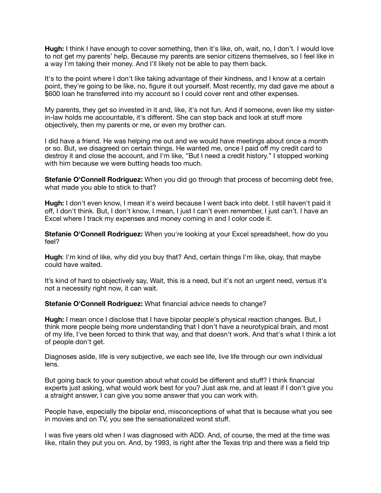**Hugh:** I think I have enough to cover something, then it's like, oh, wait, no, I don't. I would love to not get my parents' help. Because my parents are senior citizens themselves, so I feel like in a way I'm taking their money. And I'll likely not be able to pay them back.

It's to the point where I don't like taking advantage of their kindness, and I know at a certain point, they're going to be like, no, figure it out yourself. Most recently, my dad gave me about a \$600 loan he transferred into my account so I could cover rent and other expenses.

My parents, they get so invested in it and, like, it's not fun. And if someone, even like my sisterin-law holds me accountable, it's different. She can step back and look at stuff more objectively, then my parents or me, or even my brother can.

I did have a friend. He was helping me out and we would have meetings about once a month or so. But, we disagreed on certain things. He wanted me, once I paid off my credit card to destroy it and close the account, and I'm like, "But I need a credit history." I stopped working with him because we were butting heads too much.

**Stefanie O'Connell Rodriguez:** When you did go through that process of becoming debt free, what made you able to stick to that?

**Hugh:** I don't even know, I mean it's weird because I went back into debt. I still haven't paid it off, I don't think. But, I don't know, I mean, I just I can't even remember, I just can't. I have an Excel where I track my expenses and money coming in and I color code it.

**Stefanie O'Connell Rodriguez:** When you're looking at your Excel spreadsheet, how do you feel?

**Hugh**: I'm kind of like, why did you buy that? And, certain things I'm like, okay, that maybe could have waited.

It's kind of hard to objectively say, Wait, this is a need, but it's not an urgent need, versus it's not a necessity right now, it can wait.

**Stefanie O'Connell Rodriguez:** What financial advice needs to change?

**Hugh:** I mean once I disclose that I have bipolar people's physical reaction changes. But, I think more people being more understanding that I don't have a neurotypical brain, and most of my life, I've been forced to think that way, and that doesn't work. And that's what I think a lot of people don't get.

Diagnoses aside, life is very subjective, we each see life, live life through our own individual lens.

But going back to your question about what could be different and stuff? I think financial experts just asking, what would work best for you? Just ask me, and at least if I don't give you a straight answer, I can give you some answer that you can work with.

People have, especially the bipolar end, misconceptions of what that is because what you see in movies and on TV, you see the sensationalized worst stuff.

I was five years old when I was diagnosed with ADD. And, of course, the med at the time was like, ritalin they put you on. And, by 1993, is right after the Texas trip and there was a field trip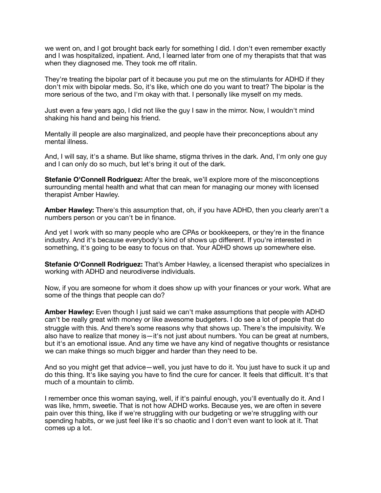we went on, and I got brought back early for something I did. I don't even remember exactly and I was hospitalized, inpatient. And, I learned later from one of my therapists that that was when they diagnosed me. They took me off ritalin.

They're treating the bipolar part of it because you put me on the stimulants for ADHD if they don't mix with bipolar meds. So, it's like, which one do you want to treat? The bipolar is the more serious of the two, and I'm okay with that. I personally like myself on my meds.

Just even a few years ago, I did not like the guy I saw in the mirror. Now, I wouldn't mind shaking his hand and being his friend.

Mentally ill people are also marginalized, and people have their preconceptions about any mental illness.

And, I will say, it's a shame. But like shame, stigma thrives in the dark. And, I'm only one guy and I can only do so much, but let's bring it out of the dark.

**Stefanie O'Connell Rodriguez:** After the break, we'll explore more of the misconceptions surrounding mental health and what that can mean for managing our money with licensed therapist Amber Hawley.

**Amber Hawley:** There's this assumption that, oh, if you have ADHD, then you clearly aren't a numbers person or you can't be in finance.

And yet I work with so many people who are CPAs or bookkeepers, or they're in the finance industry. And it's because everybody's kind of shows up different. If you're interested in something, it's going to be easy to focus on that. Your ADHD shows up somewhere else.

**Stefanie O'Connell Rodriguez:** That's Amber Hawley, a licensed therapist who specializes in working with ADHD and neurodiverse individuals.

Now, if you are someone for whom it does show up with your finances or your work. What are some of the things that people can do?

**Amber Hawley:** Even though I just said we can't make assumptions that people with ADHD can't be really great with money or like awesome budgeters. I do see a lot of people that do struggle with this. And there's some reasons why that shows up. There's the impulsivity. We also have to realize that money is—it's not just about numbers. You can be great at numbers, but it's an emotional issue. And any time we have any kind of negative thoughts or resistance we can make things so much bigger and harder than they need to be.

And so you might get that advice—well, you just have to do it. You just have to suck it up and do this thing. It's like saying you have to find the cure for cancer. It feels that difficult. It's that much of a mountain to climb.

I remember once this woman saying, well, if it's painful enough, you'll eventually do it. And I was like, hmm, sweetie. That is not how ADHD works. Because yes, we are often in severe pain over this thing, like if we're struggling with our budgeting or we're struggling with our spending habits, or we just feel like it's so chaotic and I don't even want to look at it. That comes up a lot.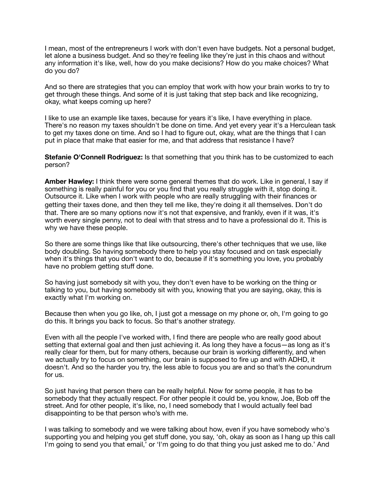I mean, most of the entrepreneurs I work with don't even have budgets. Not a personal budget, let alone a business budget. And so they're feeling like they're just in this chaos and without any information it's like, well, how do you make decisions? How do you make choices? What do you do?

And so there are strategies that you can employ that work with how your brain works to try to get through these things. And some of it is just taking that step back and like recognizing, okay, what keeps coming up here?

I like to use an example like taxes, because for years it's like, I have everything in place. There's no reason my taxes shouldn't be done on time. And yet every year it's a Herculean task to get my taxes done on time. And so I had to figure out, okay, what are the things that I can put in place that make that easier for me, and that address that resistance I have?

**Stefanie O'Connell Rodriguez:** Is that something that you think has to be customized to each person?

**Amber Hawley:** I think there were some general themes that do work. Like in general, I say if something is really painful for you or you find that you really struggle with it, stop doing it. Outsource it. Like when I work with people who are really struggling with their finances or getting their taxes done, and then they tell me like, they're doing it all themselves. Don't do that. There are so many options now it's not that expensive, and frankly, even if it was, it's worth every single penny, not to deal with that stress and to have a professional do it. This is why we have these people.

So there are some things like that like outsourcing, there's other techniques that we use, like body doubling. So having somebody there to help you stay focused and on task especially when it's things that you don't want to do, because if it's something you love, you probably have no problem getting stuff done.

So having just somebody sit with you, they don't even have to be working on the thing or talking to you, but having somebody sit with you, knowing that you are saying, okay, this is exactly what I'm working on.

Because then when you go like, oh, I just got a message on my phone or, oh, I'm going to go do this. It brings you back to focus. So that's another strategy.

Even with all the people I've worked with, I find there are people who are really good about setting that external goal and then just achieving it. As long they have a focus—as long as it's really clear for them, but for many others, because our brain is working differently, and when we actually try to focus on something, our brain is supposed to fire up and with ADHD, it doesn't. And so the harder you try, the less able to focus you are and so that's the conundrum for us.

So just having that person there can be really helpful. Now for some people, it has to be somebody that they actually respect. For other people it could be, you know, Joe, Bob off the street. And for other people, it's like, no, I need somebody that I would actually feel bad disappointing to be that person who's with me.

I was talking to somebody and we were talking about how, even if you have somebody who's supporting you and helping you get stuff done, you say, 'oh, okay as soon as I hang up this call I'm going to send you that email,' or 'I'm going to do that thing you just asked me to do.' And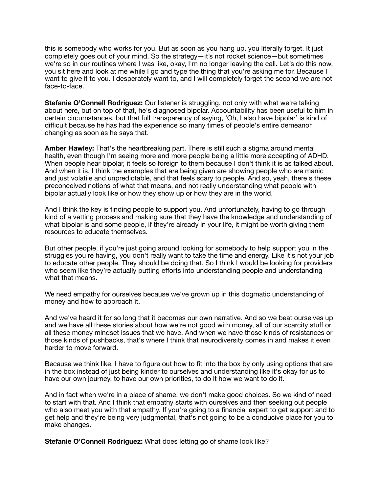this is somebody who works for you. But as soon as you hang up, you literally forget. It just completely goes out of your mind. So the strategy—it's not rocket science—but sometimes we're so in our routines where I was like, okay, I'm no longer leaving the call. Let's do this now, you sit here and look at me while I go and type the thing that you're asking me for. Because I want to give it to you. I desperately want to, and I will completely forget the second we are not face-to-face.

**Stefanie O'Connell Rodriguez:** Our listener is struggling, not only with what we're talking about here, but on top of that, he's diagnosed bipolar. Accountability has been useful to him in certain circumstances, but that full transparency of saying, 'Oh, I also have bipolar' is kind of difficult because he has had the experience so many times of people's entire demeanor changing as soon as he says that.

**Amber Hawley:** That's the heartbreaking part. There is still such a stigma around mental health, even though I'm seeing more and more people being a little more accepting of ADHD. When people hear bipolar, it feels so foreign to them because I don't think it is as talked about. And when it is, I think the examples that are being given are showing people who are manic and just volatile and unpredictable, and that feels scary to people. And so, yeah, there's these preconceived notions of what that means, and not really understanding what people with bipolar actually look like or how they show up or how they are in the world.

And I think the key is finding people to support you. And unfortunately, having to go through kind of a vetting process and making sure that they have the knowledge and understanding of what bipolar is and some people, if they're already in your life, it might be worth giving them resources to educate themselves.

But other people, if you're just going around looking for somebody to help support you in the struggles you're having, you don't really want to take the time and energy. Like it's not your job to educate other people. They should be doing that. So I think I would be looking for providers who seem like they're actually putting efforts into understanding people and understanding what that means.

We need empathy for ourselves because we've grown up in this dogmatic understanding of money and how to approach it.

And we've heard it for so long that it becomes our own narrative. And so we beat ourselves up and we have all these stories about how we're not good with money, all of our scarcity stuff or all these money mindset issues that we have. And when we have those kinds of resistances or those kinds of pushbacks, that's where I think that neurodiversity comes in and makes it even harder to move forward.

Because we think like, I have to figure out how to fit into the box by only using options that are in the box instead of just being kinder to ourselves and understanding like it's okay for us to have our own journey, to have our own priorities, to do it how we want to do it.

And in fact when we're in a place of shame, we don't make good choices. So we kind of need to start with that. And I think that empathy starts with ourselves and then seeking out people who also meet you with that empathy. If you're going to a financial expert to get support and to get help and they're being very judgmental, that's not going to be a conducive place for you to make changes.

**Stefanie O'Connell Rodriguez:** What does letting go of shame look like?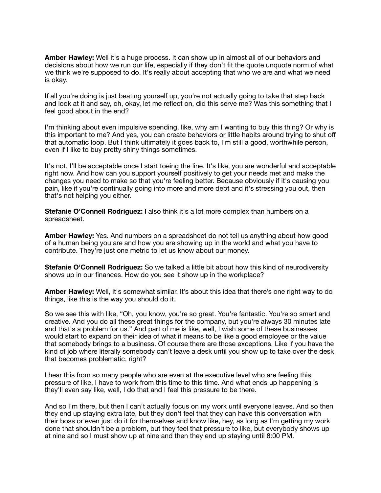**Amber Hawley:** Well it's a huge process. It can show up in almost all of our behaviors and decisions about how we run our life, especially if they don't fit the quote unquote norm of what we think we're supposed to do. It's really about accepting that who we are and what we need is okay.

If all you're doing is just beating yourself up, you're not actually going to take that step back and look at it and say, oh, okay, let me reflect on, did this serve me? Was this something that I feel good about in the end?

I'm thinking about even impulsive spending, like, why am I wanting to buy this thing? Or why is this important to me? And yes, you can create behaviors or little habits around trying to shut off that automatic loop. But I think ultimately it goes back to, I'm still a good, worthwhile person, even if I like to buy pretty shiny things sometimes.

It's not, I'll be acceptable once I start toeing the line. It's like, you are wonderful and acceptable right now. And how can you support yourself positively to get your needs met and make the changes you need to make so that you're feeling better. Because obviously if it's causing you pain, like if you're continually going into more and more debt and it's stressing you out, then that's not helping you either.

**Stefanie O'Connell Rodriguez:** I also think it's a lot more complex than numbers on a spreadsheet.

**Amber Hawley:** Yes. And numbers on a spreadsheet do not tell us anything about how good of a human being you are and how you are showing up in the world and what you have to contribute. They're just one metric to let us know about our money.

**Stefanie O'Connell Rodriguez:** So we talked a little bit about how this kind of neurodiversity shows up in our finances. How do you see it show up in the workplace?

**Amber Hawley:** Well, it's somewhat similar. It's about this idea that there's one right way to do things, like this is the way you should do it.

So we see this with like, "Oh, you know, you're so great. You're fantastic. You're so smart and creative. And you do all these great things for the company, but you're always 30 minutes late and that's a problem for us." And part of me is like, well, I wish some of these businesses would start to expand on their idea of what it means to be like a good employee or the value that somebody brings to a business. Of course there are those exceptions. Like if you have the kind of job where literally somebody can't leave a desk until you show up to take over the desk that becomes problematic, right?

I hear this from so many people who are even at the executive level who are feeling this pressure of like, I have to work from this time to this time. And what ends up happening is they'll even say like, well, I do that and I feel this pressure to be there.

And so I'm there, but then I can't actually focus on my work until everyone leaves. And so then they end up staying extra late, but they don't feel that they can have this conversation with their boss or even just do it for themselves and know like, hey, as long as I'm getting my work done that shouldn't be a problem, but they feel that pressure to like, but everybody shows up at nine and so I must show up at nine and then they end up staying until 8:00 PM.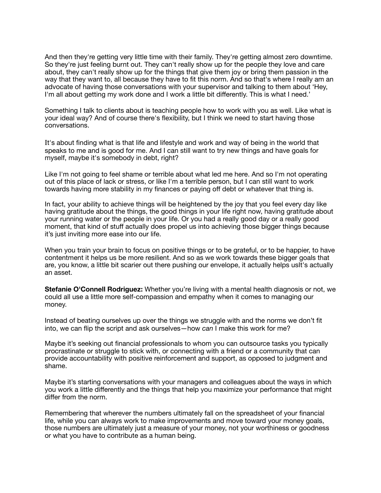And then they're getting very little time with their family. They're getting almost zero downtime. So they're just feeling burnt out. They can't really show up for the people they love and care about, they can't really show up for the things that give them joy or bring them passion in the way that they want to, all because they have to fit this norm. And so that's where I really am an advocate of having those conversations with your supervisor and talking to them about 'Hey, I'm all about getting my work done and I work a little bit differently. This is what I need.'

Something I talk to clients about is teaching people how to work with you as well. Like what is your ideal way? And of course there's flexibility, but I think we need to start having those conversations.

It's about finding what is that life and lifestyle and work and way of being in the world that speaks to me and is good for me. And I can still want to try new things and have goals for myself, maybe it's somebody in debt, right?

Like I'm not going to feel shame or terrible about what led me here. And so I'm not operating out of this place of lack or stress, or like I'm a terrible person, but I can still want to work towards having more stability in my finances or paying off debt or whatever that thing is.

In fact, your ability to achieve things will be heightened by the joy that you feel every day like having gratitude about the things, the good things in your life right now, having gratitude about your running water or the people in your life. Or you had a really good day or a really good moment, that kind of stuff actually does propel us into achieving those bigger things because it's just inviting more ease into our life.

When you train your brain to focus on positive things or to be grateful, or to be happier, to have contentment it helps us be more resilient. And so as we work towards these bigger goals that are, you know, a little bit scarier out there pushing our envelope, it actually helps usIt's actually an asset.

**Stefanie O'Connell Rodriguez:** Whether you're living with a mental health diagnosis or not, we could all use a little more self-compassion and empathy when it comes to managing our money.

Instead of beating ourselves up over the things we struggle with and the norms we don't fit into, we can flip the script and ask ourselves—how *can* I make this work for me?

Maybe it's seeking out financial professionals to whom you can outsource tasks you typically procrastinate or struggle to stick with, or connecting with a friend or a community that can provide accountability with positive reinforcement and support, as opposed to judgment and shame.

Maybe it's starting conversations with your managers and colleagues about the ways in which you work a little differently and the things that help you maximize your performance that might differ from the norm.

Remembering that wherever the numbers ultimately fall on the spreadsheet of your financial life, while you can always work to make improvements and move toward your money goals, those numbers are ultimately just a measure of your money, not your worthiness or goodness or what you have to contribute as a human being.